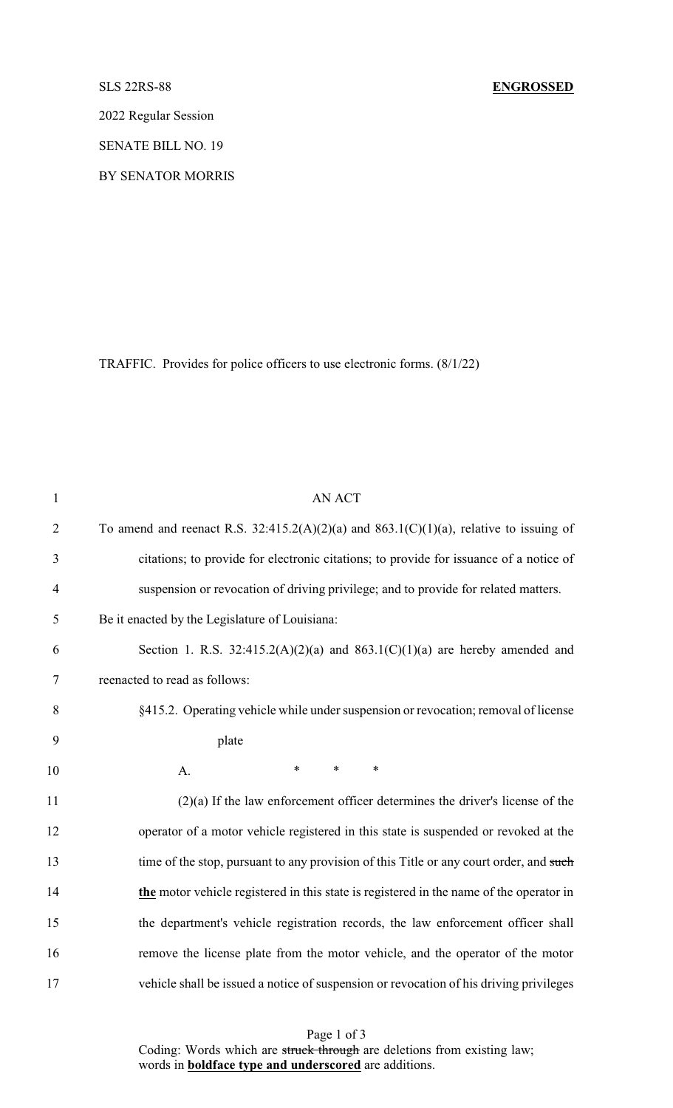2022 Regular Session

SENATE BILL NO. 19

BY SENATOR MORRIS

TRAFFIC. Provides for police officers to use electronic forms. (8/1/22)

| $\mathbf{1}$   | <b>AN ACT</b>                                                                               |
|----------------|---------------------------------------------------------------------------------------------|
| $\overline{2}$ | To amend and reenact R.S. $32:415.2(A)(2)(a)$ and $863.1(C)(1)(a)$ , relative to issuing of |
| 3              | citations; to provide for electronic citations; to provide for issuance of a notice of      |
| $\overline{4}$ | suspension or revocation of driving privilege; and to provide for related matters.          |
| 5              | Be it enacted by the Legislature of Louisiana:                                              |
| 6              | Section 1. R.S. $32:415.2(A)(2)(a)$ and $863.1(C)(1)(a)$ are hereby amended and             |
| $\tau$         | reenacted to read as follows:                                                               |
| 8              | §415.2. Operating vehicle while under suspension or revocation; removal of license          |
| 9              | plate                                                                                       |
| 10             | $\ast$<br>$\ast$<br>$\ast$<br>A.                                                            |
| 11             | $(2)(a)$ If the law enforcement officer determines the driver's license of the              |
| 12             | operator of a motor vehicle registered in this state is suspended or revoked at the         |
| 13             | time of the stop, pursuant to any provision of this Title or any court order, and such      |
| 14             | the motor vehicle registered in this state is registered in the name of the operator in     |
| 15             | the department's vehicle registration records, the law enforcement officer shall            |
| 16             | remove the license plate from the motor vehicle, and the operator of the motor              |
| 17             | vehicle shall be issued a notice of suspension or revocation of his driving privileges      |

Page 1 of 3 Coding: Words which are struck through are deletions from existing law; words in **boldface type and underscored** are additions.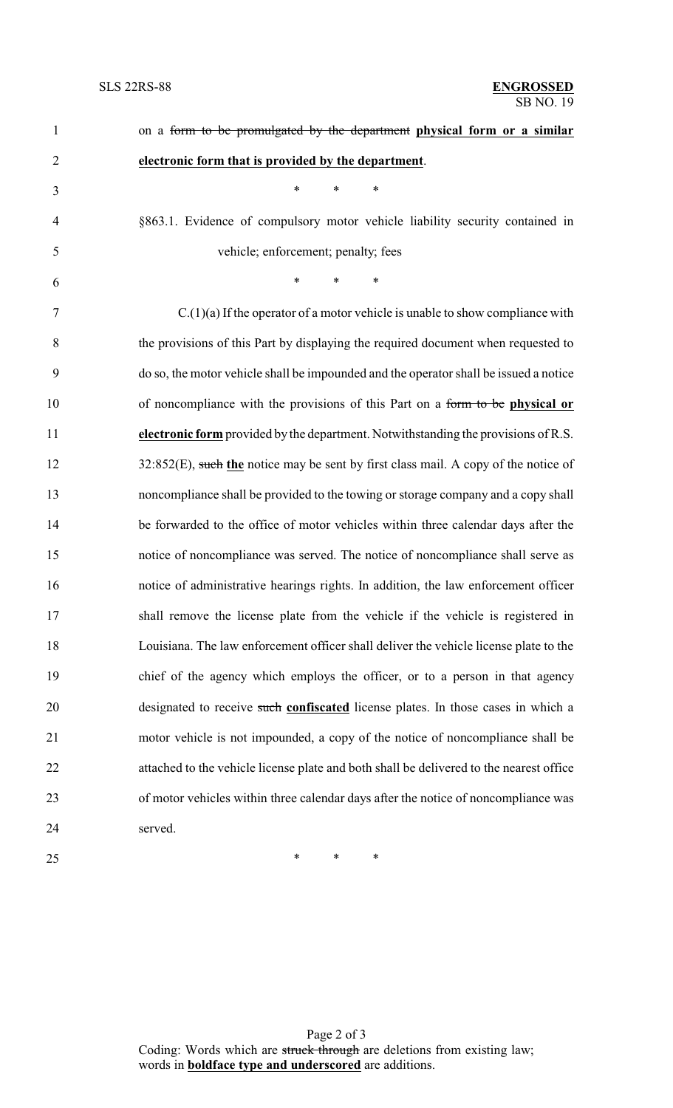| $\mathbf{1}$   | on a form to be promulgated by the department physical form or a similar                |
|----------------|-----------------------------------------------------------------------------------------|
| $\overline{c}$ | electronic form that is provided by the department.                                     |
| 3              | $\ast$<br>*<br>*                                                                        |
| $\overline{4}$ | §863.1. Evidence of compulsory motor vehicle liability security contained in            |
| 5              | vehicle; enforcement; penalty; fees                                                     |
| 6              | $\ast$<br>$\ast$<br>$\ast$                                                              |
| 7              | $C(1)(a)$ If the operator of a motor vehicle is unable to show compliance with          |
| 8              | the provisions of this Part by displaying the required document when requested to       |
| 9              | do so, the motor vehicle shall be impounded and the operator shall be issued a notice   |
| 10             | of noncompliance with the provisions of this Part on a form to be physical or           |
| 11             | electronic form provided by the department. Notwithstanding the provisions of R.S.      |
| 12             | $32:852(E)$ , such the notice may be sent by first class mail. A copy of the notice of  |
| 13             | noncompliance shall be provided to the towing or storage company and a copy shall       |
| 14             | be forwarded to the office of motor vehicles within three calendar days after the       |
| 15             | notice of noncompliance was served. The notice of noncompliance shall serve as          |
| 16             | notice of administrative hearings rights. In addition, the law enforcement officer      |
| 17             | shall remove the license plate from the vehicle if the vehicle is registered in         |
| 18             | Louisiana. The law enforcement officer shall deliver the vehicle license plate to the   |
| 19             | chief of the agency which employs the officer, or to a person in that agency            |
| 20             | designated to receive such confiscated license plates. In those cases in which a        |
| 21             | motor vehicle is not impounded, a copy of the notice of noncompliance shall be          |
| 22             | attached to the vehicle license plate and both shall be delivered to the nearest office |
| 23             | of motor vehicles within three calendar days after the notice of noncompliance was      |
| 24             | served.                                                                                 |
| 25             | ∗<br>∗<br>∗                                                                             |